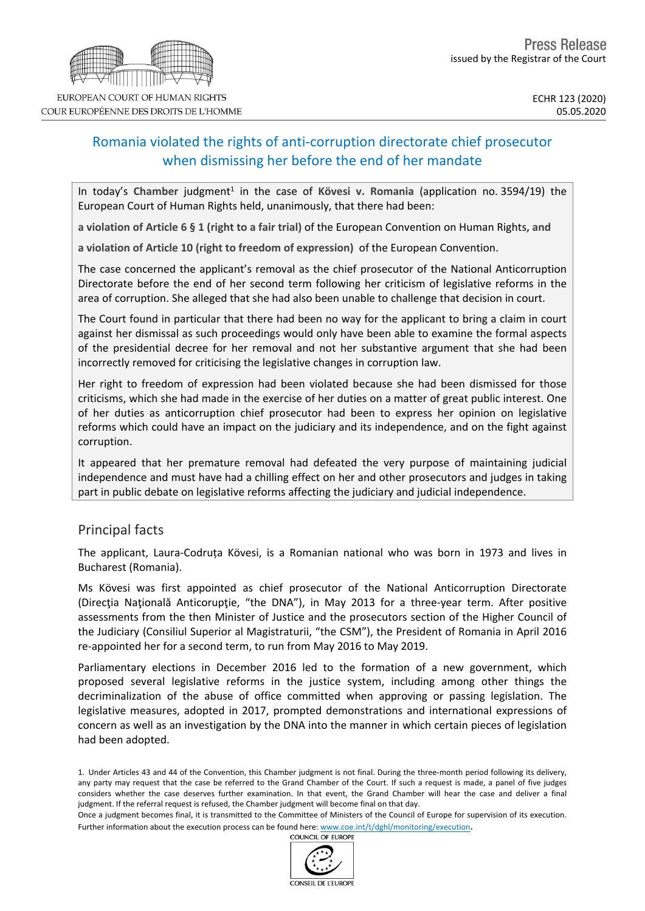# Romania violated the rights of anti-corruption directorate chief prosecutor when dismissing her before the end of her mandate

In today's Chamber judgment<sup>1</sup> in the case of Kövesi v. Romania (application no. 3594/19) the European Court of Human Rights held, unanimously, that there had been:

**a violation of Article 6 § 1 (right to a fair trial)** of the European Convention on Human Rights**, and**

**a violation of Article 10 (right to freedom of expression)** of the European Convention.

The case concerned the applicant's removal as the chief prosecutor of the National Anticorruption Directorate before the end of her second term following her criticism of legislative reforms in the area of corruption. She alleged that she had also been unable to challenge that decision in court.

The Court found in particular that there had been no way for the applicant to bring a claim in court against her dismissal as such proceedings would only have been able to examine the formal aspects of the presidential decree for her removal and not her substantive argument that she had been incorrectly removed for criticising the legislative changes in corruption law.

Her right to freedom of expression had been violated because she had been dismissed for those criticisms, which she had made in the exercise of her duties on a matter of great public interest. One of her duties as anticorruption chief prosecutor had been to express her opinion on legislative reforms which could have an impact on the judiciary and its independence, and on the fight against corruption.

It appeared that her premature removal had defeated the very purpose of maintaining judicial independence and must have had a chilling effect on her and other prosecutors and judges in taking part in public debate on legislative reforms affecting the judiciary and judicial independence.

## Principal facts

The applicant, Laura-Codruța Kövesi, is a Romanian national who was born in 1973 and lives in Bucharest (Romania).

Ms Kövesi was first appointed as chief prosecutor of the National Anticorruption Directorate (Direcţia Naţională Anticorupţie, "the DNA"), in May 2013 for a three-year term. After positive assessments from the then Minister of Justice and the prosecutors section of the Higher Council of the Judiciary (Consiliul Superior al Magistraturii, "the CSM"), the President of Romania in April 2016 re-appointed her for a second term, to run from May 2016 to May 2019.

Parliamentary elections in December 2016 led to the formation of a new government, which proposed several legislative reforms in the justice system, including among other things the decriminalization of the abuse of office committed when approving or passing legislation. The legislative measures, adopted in 2017, prompted demonstrations and international expressions of concern as well as an investigation by the DNA into the manner in which certain pieces of legislation had been adopted.

Once a judgment becomes final, it is transmitted to the Committee of Ministers of the Council of Europe for supervision of its execution. Further information about the execution process can be found here: [www.coe.int/t/dghl/monitoring/execution](http://www.coe.int/t/dghl/monitoring/execution).<br>COUNCIL OF EUROPE





<sup>1.</sup> Under Articles 43 and 44 of the Convention, this Chamber judgment is not final. During the three-month period following its delivery, any party may request that the case be referred to the Grand Chamber of the Court. If such a request is made, a panel of five judges considers whether the case deserves further examination. In that event, the Grand Chamber will hear the case and deliver a final judgment. If the referral request is refused, the Chamber judgment will become final on that day.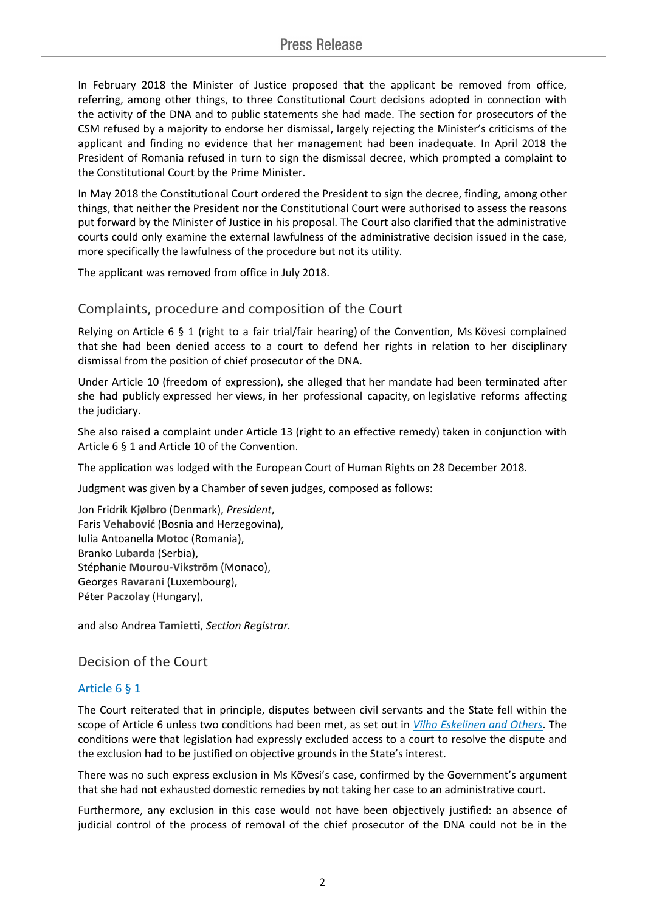In February 2018 the Minister of Justice proposed that the applicant be removed from office, referring, among other things, to three Constitutional Court decisions adopted in connection with the activity of the DNA and to public statements she had made. The section for prosecutors of the CSM refused by a majority to endorse her dismissal, largely rejecting the Minister's criticisms of the applicant and finding no evidence that her management had been inadequate. In April 2018 the President of Romania refused in turn to sign the dismissal decree, which prompted a complaint to the Constitutional Court by the Prime Minister.

In May 2018 the Constitutional Court ordered the President to sign the decree, finding, among other things, that neither the President nor the Constitutional Court were authorised to assess the reasons put forward by the Minister of Justice in his proposal. The Court also clarified that the administrative courts could only examine the external lawfulness of the administrative decision issued in the case, more specifically the lawfulness of the procedure but not its utility.

The applicant was removed from office in July 2018.

## Complaints, procedure and composition of the Court

Relying on Article 6 § 1 (right to a fair trial/fair hearing) of the Convention, Ms Kövesi complained that she had been denied access to a court to defend her rights in relation to her disciplinary dismissal from the position of chief prosecutor of the DNA.

Under Article 10 (freedom of expression), she alleged that her mandate had been terminated after she had publicly expressed her views, in her professional capacity, on legislative reforms affecting the judiciary.

She also raised a complaint under Article 13 (right to an effective remedy) taken in conjunction with Article 6 § 1 and Article 10 of the Convention.

The application was lodged with the European Court of Human Rights on 28 December 2018.

Judgment was given by a Chamber of seven judges, composed as follows:

Jon Fridrik **Kjølbro** (Denmark), *President*, Faris **Vehabović** (Bosnia and Herzegovina), Iulia Antoanella **Motoc** (Romania), Branko **Lubarda** (Serbia), Stéphanie **Mourou-Vikström** (Monaco), Georges **Ravarani** (Luxembourg), Péter **Paczolay** (Hungary),

and also Andrea **Tamietti**, *Section Registrar.*

Decision of the Court

## Article 6 § 1

The Court reiterated that in principle, disputes between civil servants and the State fell within the scope of Article 6 unless two conditions had been met, as set out in *Vilho [Eskelinen](http://hudoc.echr.coe.int/eng?i=001-80249) and Others*. The conditions were that legislation had expressly excluded access to a court to resolve the dispute and the exclusion had to be justified on objective grounds in the State's interest.

There was no such express exclusion in Ms Kövesi's case, confirmed by the Government's argument that she had not exhausted domestic remedies by not taking her case to an administrative court.

Furthermore, any exclusion in this case would not have been objectively justified: an absence of judicial control of the process of removal of the chief prosecutor of the DNA could not be in the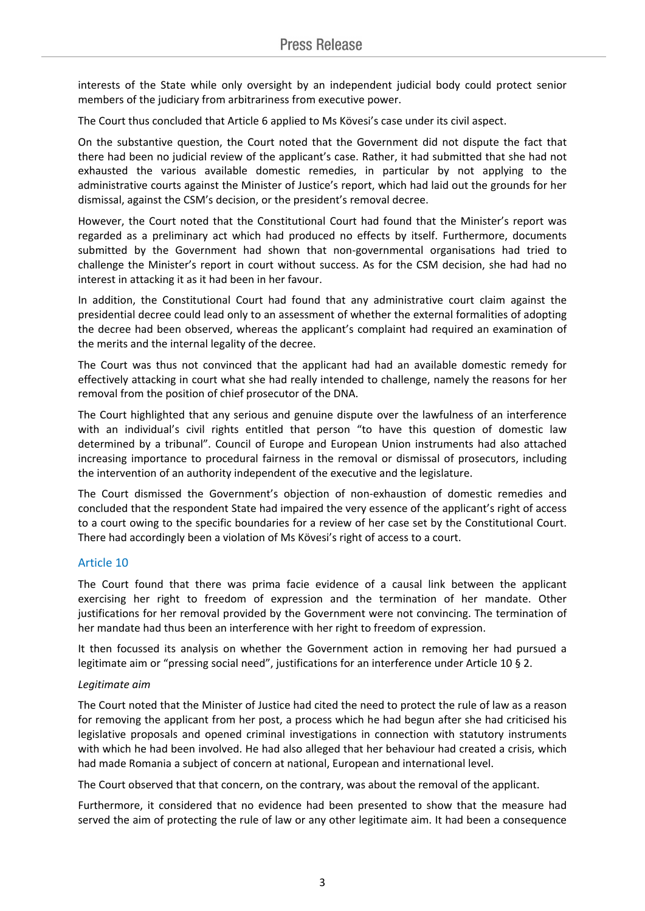interests of the State while only oversight by an independent judicial body could protect senior members of the judiciary from arbitrariness from executive power.

The Court thus concluded that Article 6 applied to Ms Kövesi's case under its civil aspect.

On the substantive question, the Court noted that the Government did not dispute the fact that there had been no judicial review of the applicant's case. Rather, it had submitted that she had not exhausted the various available domestic remedies, in particular by not applying to the administrative courts against the Minister of Justice's report, which had laid out the grounds for her dismissal, against the CSM's decision, or the president's removal decree.

However, the Court noted that the Constitutional Court had found that the Minister's report was regarded as a preliminary act which had produced no effects by itself. Furthermore, documents submitted by the Government had shown that non-governmental organisations had tried to challenge the Minister's report in court without success. As for the CSM decision, she had had no interest in attacking it as it had been in her favour.

In addition, the Constitutional Court had found that any administrative court claim against the presidential decree could lead only to an assessment of whether the external formalities of adopting the decree had been observed, whereas the applicant's complaint had required an examination of the merits and the internal legality of the decree.

The Court was thus not convinced that the applicant had had an available domestic remedy for effectively attacking in court what she had really intended to challenge, namely the reasons for her removal from the position of chief prosecutor of the DNA.

The Court highlighted that any serious and genuine dispute over the lawfulness of an interference with an individual's civil rights entitled that person "to have this question of domestic law determined by a tribunal". Council of Europe and European Union instruments had also attached increasing importance to procedural fairness in the removal or dismissal of prosecutors, including the intervention of an authority independent of the executive and the legislature.

The Court dismissed the Government's objection of non-exhaustion of domestic remedies and concluded that the respondent State had impaired the very essence of the applicant's right of access to a court owing to the specific boundaries for a review of her case set by the Constitutional Court. There had accordingly been a violation of Ms Kövesi's right of access to a court.

#### Article 10

The Court found that there was prima facie evidence of a causal link between the applicant exercising her right to freedom of expression and the termination of her mandate. Other justifications for her removal provided by the Government were not convincing. The termination of her mandate had thus been an interference with her right to freedom of expression.

It then focussed its analysis on whether the Government action in removing her had pursued a legitimate aim or "pressing social need", justifications for an interference under Article 10 § 2.

#### *Legitimate aim*

The Court noted that the Minister of Justice had cited the need to protect the rule of law as a reason for removing the applicant from her post, a process which he had begun after she had criticised his legislative proposals and opened criminal investigations in connection with statutory instruments with which he had been involved. He had also alleged that her behaviour had created a crisis, which had made Romania a subject of concern at national, European and international level.

The Court observed that that concern, on the contrary, was about the removal of the applicant.

Furthermore, it considered that no evidence had been presented to show that the measure had served the aim of protecting the rule of law or any other legitimate aim. It had been a consequence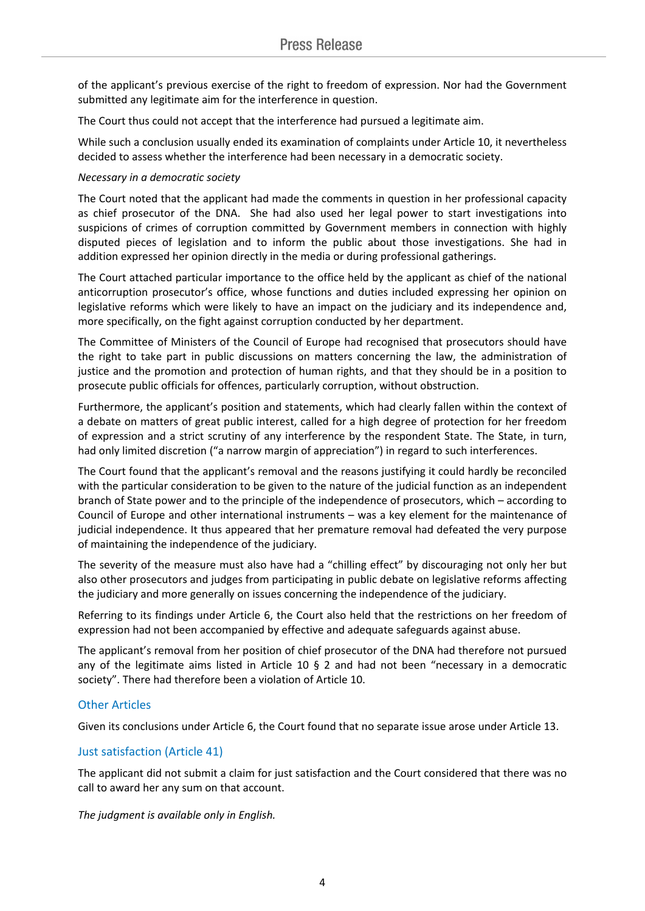of the applicant's previous exercise of the right to freedom of expression. Nor had the Government submitted any legitimate aim for the interference in question.

The Court thus could not accept that the interference had pursued a legitimate aim.

While such a conclusion usually ended its examination of complaints under Article 10, it nevertheless decided to assess whether the interference had been necessary in a democratic society.

### *Necessary in a democratic society*

The Court noted that the applicant had made the comments in question in her professional capacity as chief prosecutor of the DNA. She had also used her legal power to start investigations into suspicions of crimes of corruption committed by Government members in connection with highly disputed pieces of legislation and to inform the public about those investigations. She had in addition expressed her opinion directly in the media or during professional gatherings.

The Court attached particular importance to the office held by the applicant as chief of the national anticorruption prosecutor's office, whose functions and duties included expressing her opinion on legislative reforms which were likely to have an impact on the judiciary and its independence and, more specifically, on the fight against corruption conducted by her department.

The Committee of Ministers of the Council of Europe had recognised that prosecutors should have the right to take part in public discussions on matters concerning the law, the administration of justice and the promotion and protection of human rights, and that they should be in a position to prosecute public officials for offences, particularly corruption, without obstruction.

Furthermore, the applicant's position and statements, which had clearly fallen within the context of a debate on matters of great public interest, called for a high degree of protection for her freedom of expression and a strict scrutiny of any interference by the respondent State. The State, in turn, had only limited discretion ("a narrow margin of appreciation") in regard to such interferences.

The Court found that the applicant's removal and the reasons justifying it could hardly be reconciled with the particular consideration to be given to the nature of the judicial function as an independent branch of State power and to the principle of the independence of prosecutors, which – according to Council of Europe and other international instruments – was a key element for the maintenance of judicial independence. It thus appeared that her premature removal had defeated the very purpose of maintaining the independence of the judiciary.

The severity of the measure must also have had a "chilling effect" by discouraging not only her but also other prosecutors and judges from participating in public debate on legislative reforms affecting the judiciary and more generally on issues concerning the independence of the judiciary.

Referring to its findings under Article 6, the Court also held that the restrictions on her freedom of expression had not been accompanied by effective and adequate safeguards against abuse.

The applicant's removal from her position of chief prosecutor of the DNA had therefore not pursued any of the legitimate aims listed in Article 10 § 2 and had not been "necessary in a democratic society". There had therefore been a violation of Article 10.

## Other Articles

Given its conclusions under Article 6, the Court found that no separate issue arose under Article 13.

## Just satisfaction (Article 41)

The applicant did not submit a claim for just satisfaction and the Court considered that there was no call to award her any sum on that account.

*The judgment is available only in English.*